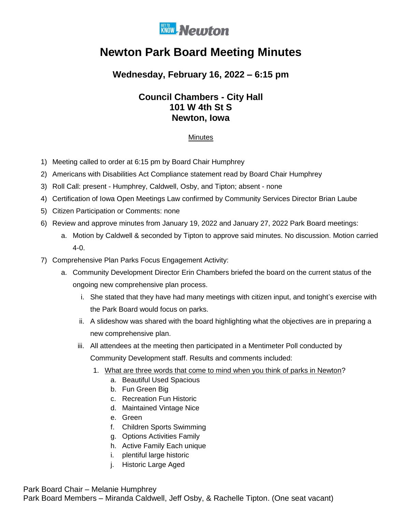

# **Newton Park Board Meeting Minutes**

## **Wednesday, February 16, 2022 – 6:15 pm**

### **Council Chambers - City Hall 101 W 4th St S Newton, Iowa**

#### **Minutes**

- 1) Meeting called to order at 6:15 pm by Board Chair Humphrey
- 2) Americans with Disabilities Act Compliance statement read by Board Chair Humphrey
- 3) Roll Call: present Humphrey, Caldwell, Osby, and Tipton; absent none
- 4) Certification of Iowa Open Meetings Law confirmed by Community Services Director Brian Laube
- 5) Citizen Participation or Comments: none
- 6) Review and approve minutes from January 19, 2022 and January 27, 2022 Park Board meetings:
	- a. Motion by Caldwell & seconded by Tipton to approve said minutes. No discussion. Motion carried 4-0.
- 7) Comprehensive Plan Parks Focus Engagement Activity:
	- a. Community Development Director Erin Chambers briefed the board on the current status of the ongoing new comprehensive plan process.
		- i. She stated that they have had many meetings with citizen input, and tonight's exercise with the Park Board would focus on parks.
		- ii. A slideshow was shared with the board highlighting what the objectives are in preparing a new comprehensive plan.
		- iii. All attendees at the meeting then participated in a Mentimeter Poll conducted by Community Development staff. Results and comments included:
			- 1. What are three words that come to mind when you think of parks in Newton?
				- a. Beautiful Used Spacious
				- b. Fun Green Big
				- c. Recreation Fun Historic
				- d. Maintained Vintage Nice
				- e. Green
				- f. Children Sports Swimming
				- g. Options Activities Family
				- h. Active Family Each unique
				- i. plentiful large historic
				- j. Historic Large Aged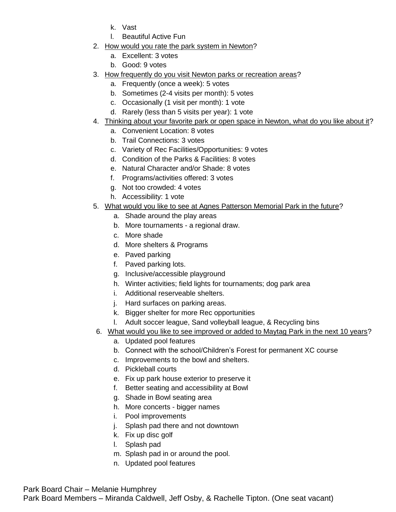- k. Vast
- l. Beautiful Active Fun
- 2. How would you rate the park system in Newton?
	- a. Excellent: 3 votes
	- b. Good: 9 votes
- 3. How frequently do you visit Newton parks or recreation areas?
	- a. Frequently (once a week): 5 votes
	- b. Sometimes (2-4 visits per month): 5 votes
	- c. Occasionally (1 visit per month): 1 vote
	- d. Rarely (less than 5 visits per year): 1 vote
- 4. Thinking about your favorite park or open space in Newton, what do you like about it?
	- a. Convenient Location: 8 votes
	- b. Trail Connections: 3 votes
	- c. Variety of Rec Facilities/Opportunities: 9 votes
	- d. Condition of the Parks & Facilities: 8 votes
	- e. Natural Character and/or Shade: 8 votes
	- f. Programs/activities offered: 3 votes
	- g. Not too crowded: 4 votes
	- h. Accessibility: 1 vote
- 5. What would you like to see at Agnes Patterson Memorial Park in the future?
	- a. Shade around the play areas
	- b. More tournaments a regional draw.
	- c. More shade
	- d. More shelters & Programs
	- e. Paved parking
	- f. Paved parking lots.
	- g. Inclusive/accessible playground
	- h. Winter activities; field lights for tournaments; dog park area
	- i. Additional reserveable shelters.
	- j. Hard surfaces on parking areas.
	- k. Bigger shelter for more Rec opportunities
	- l. Adult soccer league, Sand volleyball league, & Recycling bins
- 6. What would you like to see improved or added to Maytag Park in the next 10 years?
	- a. Updated pool features
	- b. Connect with the school/Children's Forest for permanent XC course
	- c. Improvements to the bowl and shelters.
	- d. Pickleball courts
	- e. Fix up park house exterior to preserve it
	- f. Better seating and accessibility at Bowl
	- g. Shade in Bowl seating area
	- h. More concerts bigger names
	- i. Pool improvements
	- j. Splash pad there and not downtown
	- k. Fix up disc golf
	- l. Splash pad
	- m. Splash pad in or around the pool.
	- n. Updated pool features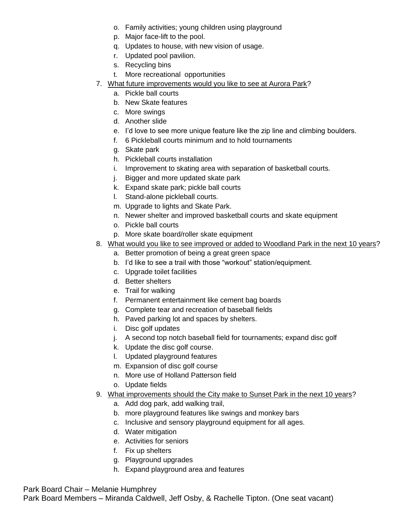- o. Family activities; young children using playground
- p. Major face-lift to the pool.
- q. Updates to house, with new vision of usage.
- r. Updated pool pavilion.
- s. Recycling bins
- t. More recreational opportunities
- 7. What future improvements would you like to see at Aurora Park?
	- a. Pickle ball courts
	- b. New Skate features
	- c. More swings
	- d. Another slide
	- e. I'd love to see more unique feature like the zip line and climbing boulders.
	- f. 6 Pickleball courts minimum and to hold tournaments
	- g. Skate park
	- h. Pickleball courts installation
	- i. Improvement to skating area with separation of basketball courts.
	- j. Bigger and more updated skate park
	- k. Expand skate park; pickle ball courts
	- l. Stand-alone pickleball courts.
	- m. Upgrade to lights and Skate Park.
	- n. Newer shelter and improved basketball courts and skate equipment
	- o. Pickle ball courts
	- p. More skate board/roller skate equipment
- 8. What would you like to see improved or added to Woodland Park in the next 10 years?
	- a. Better promotion of being a great green space
		- b. I'd like to see a trail with those "workout" station/equipment.
		- c. Upgrade toilet facilities
		- d. Better shelters
		- e. Trail for walking
		- f. Permanent entertainment like cement bag boards
		- g. Complete tear and recreation of baseball fields
		- h. Paved parking lot and spaces by shelters.
		- i. Disc golf updates
		- j. A second top notch baseball field for tournaments; expand disc golf
		- k. Update the disc golf course.
		- l. Updated playground features
		- m. Expansion of disc golf course
		- n. More use of Holland Patterson field
		- o. Update fields
- 9. What improvements should the City make to Sunset Park in the next 10 years?
	- a. Add dog park, add walking trail,
	- b. more playground features like swings and monkey bars
	- c. Inclusive and sensory playground equipment for all ages.
	- d. Water mitigation
	- e. Activities for seniors
	- f. Fix up shelters
	- g. Playground upgrades
	- h. Expand playground area and features

Park Board Chair – Melanie Humphrey

Park Board Members – Miranda Caldwell, Jeff Osby, & Rachelle Tipton. (One seat vacant)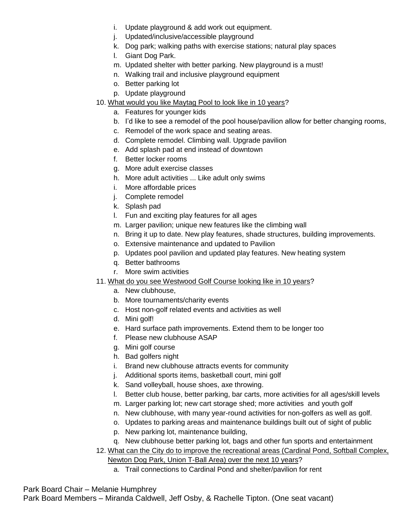- i. Update playground & add work out equipment.
- j. Updated/inclusive/accessible playground
- k. Dog park; walking paths with exercise stations; natural play spaces
- l. Giant Dog Park.
- m. Updated shelter with better parking. New playground is a must!
- n. Walking trail and inclusive playground equipment
- o. Better parking lot
- p. Update playground
- 10. What would you like Maytag Pool to look like in 10 years?
	- a. Features for younger kids
	- b. I'd like to see a remodel of the pool house/pavilion allow for better changing rooms,
	- c. Remodel of the work space and seating areas.
	- d. Complete remodel. Climbing wall. Upgrade pavilion
	- e. Add splash pad at end instead of downtown
	- f. Better locker rooms
	- g. More adult exercise classes
	- h. More adult activities ... Like adult only swims
	- i. More affordable prices
	- j. Complete remodel
	- k. Splash pad
	- l. Fun and exciting play features for all ages
	- m. Larger pavilion; unique new features like the climbing wall
	- n. Bring it up to date. New play features, shade structures, building improvements.
	- o. Extensive maintenance and updated to Pavilion
	- p. Updates pool pavilion and updated play features. New heating system
	- q. Better bathrooms
	- r. More swim activities
- 11. What do you see Westwood Golf Course looking like in 10 years?
	- a. New clubhouse,
	- b. More tournaments/charity events
	- c. Host non-golf related events and activities as well
	- d. Mini golf!
	- e. Hard surface path improvements. Extend them to be longer too
	- f. Please new clubhouse ASAP
	- g. Mini golf course
	- h. Bad golfers night
	- i. Brand new clubhouse attracts events for community
	- j. Additional sports items, basketball court, mini golf
	- k. Sand volleyball, house shoes, axe throwing.
	- l. Better club house, better parking, bar carts, more activities for all ages/skill levels
	- m. Larger parking lot; new cart storage shed; more activities and youth golf
	- n. New clubhouse, with many year-round activities for non-golfers as well as golf.
	- o. Updates to parking areas and maintenance buildings built out of sight of public
	- p. New parking lot, maintenance building,
	- q. New clubhouse better parking lot, bags and other fun sports and entertainment
- 12. What can the City do to improve the recreational areas (Cardinal Pond, Softball Complex, Newton Dog Park, Union T-Ball Area) over the next 10 years?
	- a. Trail connections to Cardinal Pond and shelter/pavilion for rent

#### Park Board Chair – Melanie Humphrey

Park Board Members – Miranda Caldwell, Jeff Osby, & Rachelle Tipton. (One seat vacant)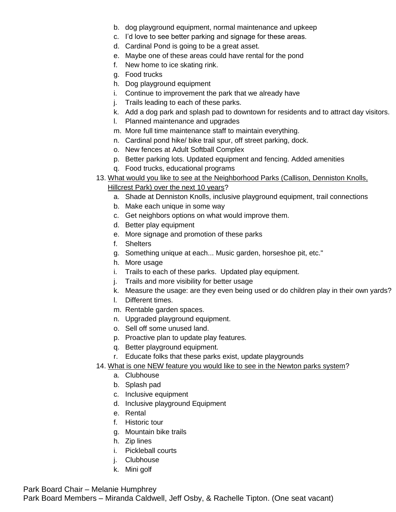- b. dog playground equipment, normal maintenance and upkeep
- c. I'd love to see better parking and signage for these areas.
- d. Cardinal Pond is going to be a great asset.
- e. Maybe one of these areas could have rental for the pond
- f. New home to ice skating rink.
- g. Food trucks
- h. Dog playground equipment
- i. Continue to improvement the park that we already have
- j. Trails leading to each of these parks.
- k. Add a dog park and splash pad to downtown for residents and to attract day visitors.
- l. Planned maintenance and upgrades
- m. More full time maintenance staff to maintain everything.
- n. Cardinal pond hike/ bike trail spur, off street parking, dock.
- o. New fences at Adult Softball Complex
- p. Better parking lots. Updated equipment and fencing. Added amenities
- q. Food trucks, educational programs
- 13. What would you like to see at the Neighborhood Parks (Callison, Denniston Knolls, Hillcrest Park) over the next 10 years?
	- a. Shade at Denniston Knolls, inclusive playground equipment, trail connections
	- b. Make each unique in some way
	- c. Get neighbors options on what would improve them.
	- d. Better play equipment
	- e. More signage and promotion of these parks
	- f. Shelters
	- g. Something unique at each... Music garden, horseshoe pit, etc."
	- h. More usage
	- i. Trails to each of these parks. Updated play equipment.
	- j. Trails and more visibility for better usage
	- k. Measure the usage: are they even being used or do children play in their own yards?
	- l. Different times.
	- m. Rentable garden spaces.
	- n. Upgraded playground equipment.
	- o. Sell off some unused land.
	- p. Proactive plan to update play features.
	- q. Better playground equipment.
	- r. Educate folks that these parks exist, update playgrounds
- 14. What is one NEW feature you would like to see in the Newton parks system?
	- a. Clubhouse
	- b. Splash pad
	- c. Inclusive equipment
	- d. Inclusive playground Equipment
	- e. Rental
	- f. Historic tour
	- g. Mountain bike trails
	- h. Zip lines
	- i. Pickleball courts
	- j. Clubhouse
	- k. Mini golf

Park Board Chair – Melanie Humphrey

Park Board Members – Miranda Caldwell, Jeff Osby, & Rachelle Tipton. (One seat vacant)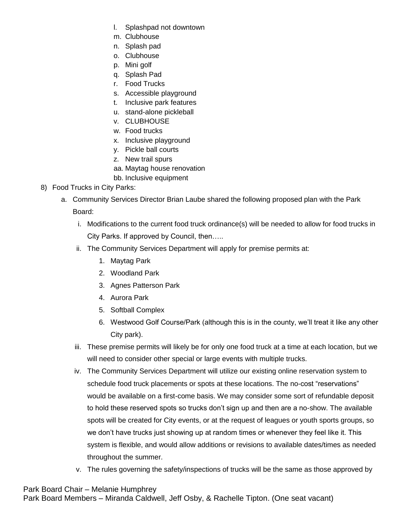- l. Splashpad not downtown
- m. Clubhouse
- n. Splash pad
- o. Clubhouse
- p. Mini golf
- q. Splash Pad
- r. Food Trucks
- s. Accessible playground
- t. Inclusive park features
- u. stand-alone pickleball
- v. CLUBHOUSE
- w. Food trucks
- x. Inclusive playground
- y. Pickle ball courts
- z. New trail spurs
- aa. Maytag house renovation
- bb. Inclusive equipment
- 8) Food Trucks in City Parks:
	- a. Community Services Director Brian Laube shared the following proposed plan with the Park Board:
		- i. Modifications to the current food truck ordinance(s) will be needed to allow for food trucks in City Parks. If approved by Council, then…..
		- ii. The Community Services Department will apply for premise permits at:
			- 1. Maytag Park
			- 2. Woodland Park
			- 3. Agnes Patterson Park
			- 4. Aurora Park
			- 5. Softball Complex
			- 6. Westwood Golf Course/Park (although this is in the county, we'll treat it like any other City park).
		- iii. These premise permits will likely be for only one food truck at a time at each location, but we will need to consider other special or large events with multiple trucks.
		- iv. The Community Services Department will utilize our existing online reservation system to schedule food truck placements or spots at these locations. The no-cost "reservations" would be available on a first-come basis. We may consider some sort of refundable deposit to hold these reserved spots so trucks don't sign up and then are a no-show. The available spots will be created for City events, or at the request of leagues or youth sports groups, so we don't have trucks just showing up at random times or whenever they feel like it. This system is flexible, and would allow additions or revisions to available dates/times as needed throughout the summer.
		- v. The rules governing the safety/inspections of trucks will be the same as those approved by

Park Board Chair – Melanie Humphrey Park Board Members – Miranda Caldwell, Jeff Osby, & Rachelle Tipton. (One seat vacant)